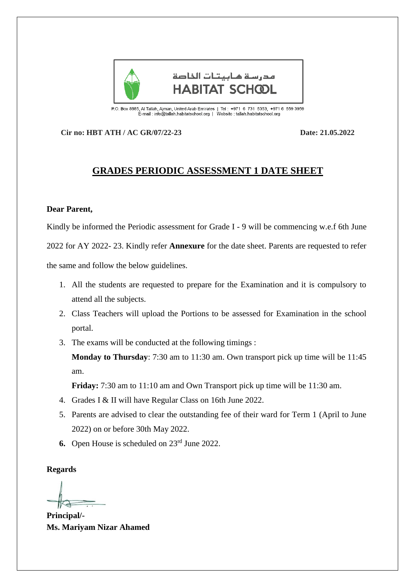

P.O. Box 8885, Al Tallah, Ajman, United Arab Emirates | Tel : +971 6 731 5353, +971 6 559 3959<br>E-mail : info@tallah.habitatschool.org | Website : tallah.habitatschool.org

**Cir no: HBT ATH / AC GR/07/22-23 Date: 21.05.2022**

## **GRADES PERIODIC ASSESSMENT 1 DATE SHEET**

## **Dear Parent,**

Kindly be informed the Periodic assessment for Grade I - 9 will be commencing w.e.f 6th June 2022 for AY 2022- 23. Kindly refer **Annexure** for the date sheet. Parents are requested to refer the same and follow the below guidelines.

- 1. All the students are requested to prepare for the Examination and it is compulsory to attend all the subjects.
- 2. Class Teachers will upload the Portions to be assessed for Examination in the school portal.
- 3. The exams will be conducted at the following timings :

**Monday to Thursday**: 7:30 am to 11:30 am. Own transport pick up time will be 11:45 am.

**Friday:** 7:30 am to 11:10 am and Own Transport pick up time will be 11:30 am.

- 4. Grades I & II will have Regular Class on 16th June 2022.
- 5. Parents are advised to clear the outstanding fee of their ward for Term 1 (April to June 2022) on or before 30th May 2022.
- **6.** Open House is scheduled on 23rd June 2022.

**Regards**

**Principal/- Ms. Mariyam Nizar Ahamed**